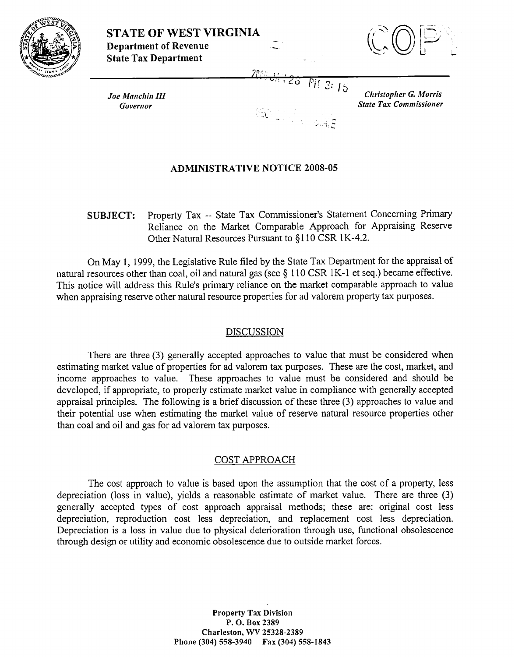

**STATE OF WEST VIRGINIA**<br>**Department of Revenue Department of Revenue**<br> **Department of Revenue**<br>
State Tax Department



**IS** *Clrristopher G. Morris* 

Joe Manchin III *Governor* Governor State Tax Commissioner

# **ADMINISTRATIVE NOTICE** 2008-05

**SUBJECT:** Property Tax -- State Tax Commissioner's Statement Concerning Primary Reliance on the Market Comparable Approach for Appraising Reserve Other Natural Resources Pursuant to §110 CSR 1 K-4.2.

?r, ,. **I),.**  %'"': **:LO** *3:* 

**-1-** - -

**d .h 'L** 

On May 1, 1999, the Legislative Rule filed by the State Tax Department for the appraisal of natural resources other than coal, oil and natural gas (see § 1 10 CSR 1K-1 et seq.) became effective. This notice will address this Rule's primary reliance on the market comparable approach to value when appraising reserve other natural resource properties for ad valorem property tax purposes.

### DISCUSSION

There are three (3) generally accepted approaches to value that must be considered when estimating market value of properties for ad valorem tax purposes. These are the cost, market, and income approaches to value. These approaches to value must be considered and should be developed, if appropriate, to properly estimate market value in compliance with generally accepted appraisal principles. The following is a brief discussion of these three **(3)** approaches to value and their potential use when estimating the market value of reserve natural resource properties other than coal and oil and gas for ad valorem tax purposes.

## COST APPROACH

The cost approach to value is based upon the assumption that the cost of a property, less depreciation (loss in value), yields a reasonable estimate of market value. There are three **(3)**  generally accepted types of cost approach appraisal methods; these are: original cost less depreciation, reproduction cost less depreciation, and replacement cost less depreciation. Depreciation is a loss in value due to physical deterioration through use, functional obsolescence through design or utility and economic obsolescence due to outside market forces.

> Property **Tax** Division P. **0.** Box **2389**  Charleston, WV **25328-2389**  Phone **(304) 558-3940 Fax (304) 558-1843**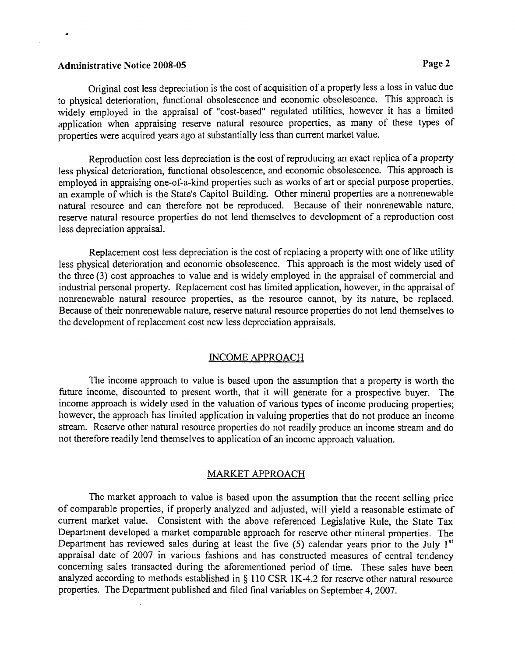## Administrative Notice 2008-05 **Page 2**

÷

Original cost less depreciation is the cost of acquisition of a property less a loss in value due to physical deterioration, functional obsolescence and economic obsolescence. This approach is widely employed in the appraisal of "cost-based" regulated utilities, however it has a limited application when appraising reserve natural resource properties, as many of these types of properties were acquired years ago at substantially less than current market value.

Reproduction cost less depreciation is the cost of reproducing an exact replica of a property less physical deterioration, fimctional obsolescence, and economic obsolescence. This approach is employed in appraising one-of-a-kind properties such as works of art or special purpose properties, an example of which is the State's Capitol Building. Other mineral properties are a nonrenewable natural resource and can therefore not be reproduced. Because of their nonrenewable nature, reserve natural resource properties do not lend themselves to development of a reproduction cost less depreciation appraisal.

Replacement cost less depreciation is the cost of replacing a property with one of like utility less physical deterioration and economic obsolescence. This approach is the most widely used of the three (3) cost approaches to value and is widely employed in the appraisal of commercial and industrial personal property. Replacement cost has limited application, however, in the appraisal of nonrenewable natural resource properties, as the resource cannot, by its nature, be replaced. Because of their nonrenewable nature, reserve natural resource properties do not lend themselves to the development of replacement cost new less depreciation appraisals.

#### INCOME APPROACH

The income approach to value is based upon the assumption that a property is worth the hture income, discounted to present worth, that it will generate for a prospective buyer. The income approach is widely used in the valuation of various types of income producing properties; however, the approach has limited application in valuing properties that do not produce an income stream. Reserve other natural resource properties do not readily produce an income stream and do not therefore readily lend themselves to application of an income approach valuation.

### MARKET APPROACH

The market approach to value is based upon the assumption that the recent selling price of comparable properties, if properly analyzed and adjusted, will yield a reasonable estimate of current market value. Consistent with the above referenced Legislative Rule, the State Tax Department developed a market comparable approach for reserve other mineral properties. The Department has reviewed sales during at least the five (5) calendar years prior to the July 1<sup>st</sup> appraisal date of 2007 in various fashions and has constructed measures of central tendency concerning sales transacted during the aforementioned period of time. These sales have been analyzed according to methods established in § 110 CSR 1K-4.2 for reserve other natural resource properties. The Department published and filed final variables on September 4,2007.